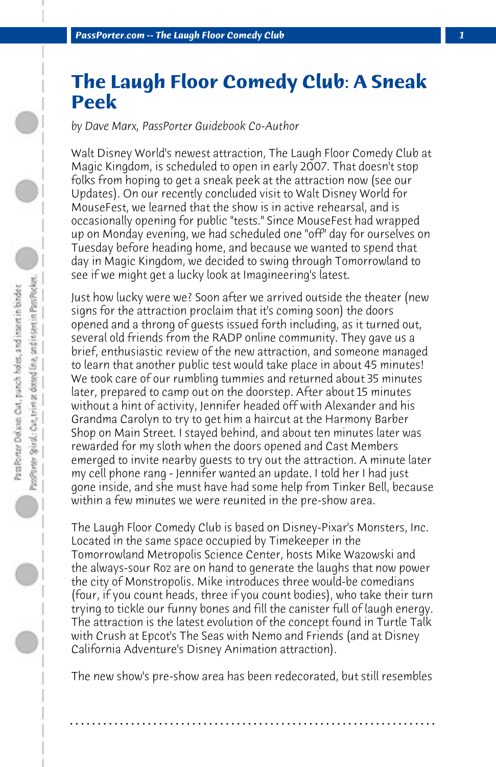## **The Laugh Floor Comedy Club: A Sneak Peek**

*by Dave Marx, PassPorter Guidebook Co-Author*

Walt Disney World's newest attraction, The Laugh Floor Comedy Club at Magic Kingdom, is scheduled to open in early 2007. That doesn't stop folks from hoping to get a sneak peek at the attraction now (see our Updates). On our recently concluded visit to Walt Disney World for MouseFest, we learned that the show is in active rehearsal, and is occasionally opening for public "tests." Since MouseFest had wrapped up on Monday evening, we had scheduled one "off" day for ourselves on Tuesday before heading home, and because we wanted to spend that day in Magic Kingdom, we decided to swing through Tomorrowland to see if we might get a lucky look at Imagineering's latest.

Just how lucky were we? Soon after we arrived outside the theater (new signs for the attraction proclaim that it's coming soon) the doors opened and a throng of guests issued forth including, as it turned out, several old friends from the RADP online community. They gave us a brief, enthusiastic review of the new attraction, and someone managed to learn that another public test would take place in about 45 minutes! We took care of our rumbling tummies and returned about 35 minutes later, prepared to camp out on the doorstep. After about 15 minutes without a hint of activity, Jennifer headed off with Alexander and his Grandma Carolyn to try to get him a haircut at the Harmony Barber Shop on Main Street. I stayed behind, and about ten minutes later was rewarded for my sloth when the doors opened and Cast Members emerged to invite nearby guests to try out the attraction. A minute later my cell phone rang - Jennifer wanted an update. I told her I had just gone inside, and she must have had some help from Tinker Bell, because within a few minutes we were reunited in the pre-show area.

The Laugh Floor Comedy Club is based on Disney-Pixar's Monsters, Inc. Located in the same space occupied by Timekeeper in the Tomorrowland Metropolis Science Center, hosts Mike Wazowski and the always-sour Roz are on hand to generate the laughs that now power the city of Monstropolis. Mike introduces three would-be comedians (four, if you count heads, three if you count bodies), who take their turn trying to tickle our funny bones and fill the canister full of laugh energy. The attraction is the latest evolution of the concept found in Turtle Talk with Crush at Epcot's The Seas with Nemo and Friends (and at Disney California Adventure's Disney Animation attraction).

The new show's pre-show area has been redecorated, but still resembles

**. . . . . . . . . . . . . . . . . . . . . . . . . . . . . . . . . . . . . . . . . . . . . . . . . . . . . . . . . . . . . . . . . .**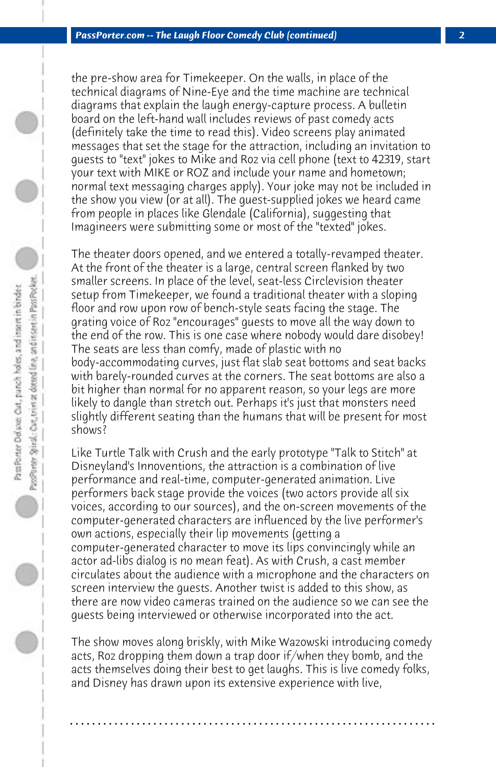the pre-show area for Timekeeper. On the walls, in place of the technical diagrams of Nine-Eye and the time machine are technical diagrams that explain the laugh energy-capture process. A bulletin board on the left-hand wall includes reviews of past comedy acts (definitely take the time to read this). Video screens play animated messages that set the stage for the attraction, including an invitation to guests to "text" jokes to Mike and Roz via cell phone (text to 42319, start your text with MIKE or ROZ and include your name and hometown; normal text messaging charges apply). Your joke may not be included in the show you view (or at all). The guest-supplied jokes we heard came from people in places like Glendale (California), suggesting that Imagineers were submitting some or most of the "texted" jokes.

The theater doors opened, and we entered a totally-revamped theater. At the front of the theater is a large, central screen flanked by two smaller screens. In place of the level, seat-less Circlevision theater setup from Timekeeper, we found a traditional theater with a sloping floor and row upon row of bench-style seats facing the stage. The grating voice of Roz "encourages" guests to move all the way down to the end of the row. This is one case where nobody would dare disobey! The seats are less than comfy, made of plastic with no body-accommodating curves, just flat slab seat bottoms and seat backs with barely-rounded curves at the corners. The seat bottoms are also a bit higher than normal for no apparent reason, so your legs are more likely to dangle than stretch out. Perhaps it's just that monsters need slightly different seating than the humans that will be present for most shows?

Like Turtle Talk with Crush and the early prototype "Talk to Stitch" at Disneyland's Innoventions, the attraction is a combination of live performance and real-time, computer-generated animation. Live performers back stage provide the voices (two actors provide all six voices, according to our sources), and the on-screen movements of the computer-generated characters are influenced by the live performer's own actions, especially their lip movements (getting a computer-generated character to move its lips convincingly while an actor ad-libs dialog is no mean feat). As with Crush, a cast member circulates about the audience with a microphone and the characters on screen interview the guests. Another twist is added to this show, as there are now video cameras trained on the audience so we can see the guests being interviewed or otherwise incorporated into the act.

The show moves along briskly, with Mike Wazowski introducing comedy acts, Roz dropping them down a trap door if/when they bomb, and the acts themselves doing their best to get laughs. This is live comedy folks, and Disney has drawn upon its extensive experience with live,

**. . . . . . . . . . . . . . . . . . . . . . . . . . . . . . . . . . . . . . . . . . . . . . . . . . . . . . . . . . . . . . . . . .**